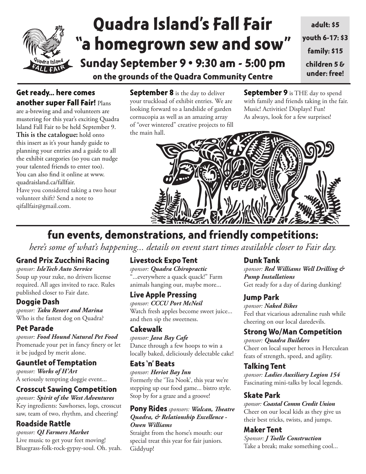

# **Quadra Island's Fall Fair "a homegrown sew and sow" Sunday September 9** • **9:30 am - 5:00 pm**

**on the grounds of the Quadra Community Centre**

## **Get ready... here comes another super Fall Fair!** Plans

are a-brewing and and volunteers are mustering for this year's exciting Quadra Island Fall Fair to be held September 9. **This is the catalogue:** hold onto this insert as it's your handy guide to planning your entries and a guide to all the exhibit categories (so you can nudge your talented friends to enter too). You can also find it online at www. quadraisland.ca/fallfair.

Have you considered taking a two hour volunteer shift? Send a note to qifallfair@gmail.com.

**September 8** is the day to deliver your truckload of exhibit entries. We are looking forward to a landslide of garden cornucopia as well as an amazing array of "over wintered" creative projects to fill the main hall.

**September 9** is THE day to spend with family and friends taking in the fair. Music! Activities! Displays! Fun! As always, look for a few surprises!



## **fun events, demonstrations, and friendly competitions:**

*here's some of what's happening... details on event start times available closer to Fair day.* 

## **Grand Prix Zucchini Racing**

*sponsor: IsleTech Auto Service* Soup up your zuke, no drivers license required. All ages invited to race. Rules published closer to Fair date.

## **Doggie Dash**

*sponsor: Taku Resort and Marina*  Who is the fastest dog on Quadra?

## **Pet Parade**

*sponsor: Food Hound Natural Pet Food* Promenade your pet in fancy finery or let it be judged by merit alone.

## **Gauntlet of Temptation**

*sponsor: Works of H'Art* A seriously tempting doggie event...

## **Crosscut Sawing Competition**

*sponsor: Spirit of the West Adventures* Key ingredients: Sawhorses, logs, crosscut saw, team of two, rhythm, and cheering!

## **Roadside Rattle**

*sponsor: QI Farmers Market* Live music to get your feet moving! Bluegrass-folk-rock-gypsy-soul. Oh. yeah.

## **Livestock Expo Tent**

*sponsor: Quadra Chiropractic* "...everywhere a quack quack!" Farm animals hanging out, maybe more...

## **Live Apple Pressing**

*sponsor: CCCU Port McNeil* Watch fresh apples become sweet juice... and then sip the sweetness.

## **Cakewalk**

*sponsor: Java Bay Cafe* Dance through a few hoops to win a locally baked, deliciously delectable cake!

## **Eats 'n' Beats**

*sponsor: Heriot Bay Inn* Formerly the 'Tea Nook', this year we're stepping up our food game... bistro style. Stop by for a graze and a groove!

#### **Pony Rides** *sponsors: Walcan, Theatre Quadra, & Relationship Excellence - Owen Williams*

Straight from the horse's mouth: our special treat this year for fair juniors. Giddyup!

## **Dunk Tank**

*sponsor: Red Williams Well Drilling & Pump Installations* Get ready for a day of daring dunking!

## **Jump Park**

*sponsor: Naked Bikes* Feel that vicarious adrenaline rush while cheering on our local daredevils.

## **Strong Wo/Man Competition**

*sponsor: Quadra Builders* Cheer on local super heroes in Herculean feats of strength, speed, and agility.

## **Talking Tent**

*sponsor: Ladies Auxiliary Legion 154* Fascinating mini-talks by local legends.

## **Skate Park**

*sponsor: Coastal Comm Credit Union* Cheer on our local kids as they give us their best tricks, twists, and jumps.

## **Maker Tent**

*Sponsor: J Toelle Construction* Take a break; make something cool...

**adult: \$5 youth 6-17: \$3 family: \$15 children 5 & under: free!**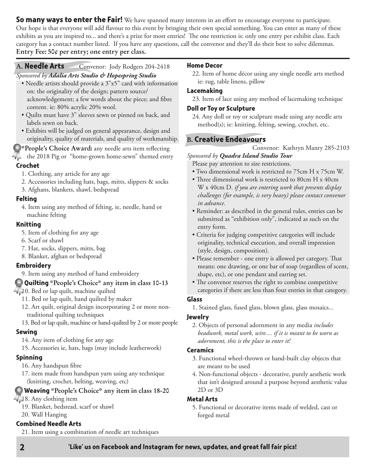**So many ways to enter the Fair!** We have spanned many interests in an effort to encourage everyone to participate. Our hope is that everyone will add flavour to this event by bringing their own special something. You can enter as many of these exhibits as you are inspired to... and there's a prize for most entries! The one restriction is: only one entry per exhibit class. Each category has a contact number listed. If you have any questions, call the convenor and they'll do their best to solve dilemmas. **Entry Fee: 50¢ per entry; one entry per class.**

#### **A. Needle Arts** Convenor: Jody Rodgers 204-2418

### *Sponsored by Adalia Arts Studio & Hopespring Studio*

- Needle artists should provide a 3"x5" card with information on: the originality of the design; pattern source/ acknowledgement; a few words about the piece; and fibre content. ie: 80% acrylic 20% wool.
- Quilts must have 3" sleeves sewn or pinned on back, and labels sewn on back.
- Exhibits will be judged on general appearance, design and originality, quality of materials, and quality of workmanship.

**\*People's Choice Award:** any needle arts item reflecting

the 2018 Pig or "home-grown home-sewn" themed entry

#### **Crochet**

- 1. Clothing, any article for any age
- 2. Accessories including hats, bags, mitts, slippers & socks
- 3. Afghans, blankets, shawl, bedspread

#### **Felting**

4. Item using any method of felting, ie, needle, hand or machine felting

#### **Knitting**

- 5. Item of clothing for any age
- 6. Scarf or shawl
- 7. Hat, socks, slippers, mitts, bag
- 8. Blanket, afghan or bedspread

#### **Embroidery**

9. Item using any method of hand embroidery

#### **Quilting \*People's Choice\* any item in class 10-13**

- $\sqrt{10}$ . Bed or lap quilt, machine quilted
	- 11. Bed or lap quilt, hand quilted by maker
	- 12. Art quilt, original design incorporating 2 or more nontraditional quilting techniques
	- 13. Bed or lap quilt, machine or hand-quilted by 2 or more people

#### **Sewing**

- 14. Any item of clothing for any age
- 15. Accessories ie, hats, bags (may include leatherwork)

#### **Spinning**

- 16. Any handspun fibre
- 17. item made from handspun yarn using any technique (knitting, crochet, belting, weaving, etc)

#### **Weaving \*People's Choice\* any item in class 18-20**

- 18. Any clothing item
	- 19. Blanket, bedsread, scarf or shawl
	- 20. Wall Hanging

#### **Combined Needle Arts**

21. Item using a combination of needle art techniques

#### **Home Decor**

22. Item of home décor using any single needle arts method ie: rug, table linens, pillow

#### **Lacemaking**

#### **Doll or Toy or Sculpture**

24. Any doll or toy or sculpture made using any needle arts method(s); ie: knitting, felting, sewing, crochet, etc.

#### **B. Creative Endeavours**

Convenor: Kathryn Manry 285-2103

*Sponsored by Quadra Island Studio Tour* Please pay attention to size restrictions.

- Two dimensional work is restricted to 75cm H x 75cm W.
- Three dimensional work is restricted to 80cm H x 40cm W x 40cm D. *if you are entering work that presents display challenges (for example, is very heavy) please contact convenor in advance.*
- Reminder: as described in the general rules, entries can be submitted as "exhibition only", indicated as such on the entry form.
- Criteria for judging competitive categories will include originality, technical execution, and overall impression (style, design, composition).
- Please remember one entry is allowed per category. That means: one drawing, or one bar of soap (regardless of scent, shape, etc), or one pendant and earring set.
- The convenor reserves the right to combine competitive categories if there are less than four entries in that category.

#### **Glass**

1. Stained glass, fused glass, blown glass, glass mosaics...

#### **Jewelry**

2. Objects of personal adornment in any media *includes beadwork, metal work, wire.... if it is meant to be worn as adornment, this is the place to enter it!*

#### **Ceramics**

- 3. Functional wheel-thrown or hand-built clay objects that are meant to be used
- 4. Non-functional objects decorative, purely aesthetic work that isn't designed around a purpose beyond aesthetic value 2D or 3D

#### **Metal Arts**

5. Functional or decorative items made of welded, cast or forged metal

<sup>23.</sup> Item of lace using any method of lacemaking technique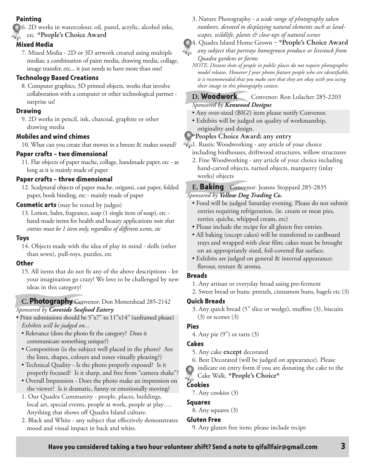#### **Painting**

6. 2D works in watercolour, oil, pastel, acrylic, alcohol inks, etc **\*People's Choice Award**

#### **Mixed Media**

7. Mixed Media - 2D or 3D artwork created using multiple medias; a combination of paint media, drawing media, collage, image transfer, etc... it just needs to have more than one!

#### **Technology Based Creations**

8. Computer graphics, 3D printed objects, works that involve collaboration with a computer or other technological partner surprise us!

#### **Drawing**

9. 2D works in pencil, ink, charcoal, graphite or other drawing media

#### **Mobiles and wind chimes**

10. What can you create that moves in a breeze & makes sound?

#### **Paper crafts – two dimensional**

11. Flat objects of paper mache, collage, handmade paper, etc - as long as it is mainly made of paper

#### **Paper crafts – three dimensional**

12. Sculptural objects of paper mache, origami, cast paper, folded paper, book binding, etc - mainly made of paper

#### **Cosmetic arts** (may be tested by judges)

13. Lotion, balm, fragrance, soap (1 single item of soap), etc hand-made items for health and beauty applications *note that entries must be 1 item only, regardless of different scents, etc*

#### **Toys**

14. Objects made with the idea of play in mind - dolls (other than sewn), pull-toys, puzzles, etc

#### **Other**

15. All items that do not fit any of the above descriptions - let your imagination go crazy! We love to be challenged by new ideas in this category!

#### **C. Photography** Convenor: Don Mottershead 285-2142 *Sponsored by Coveside Seafood Eatery*

- Print submissions should be 5"x7" to 11"x14" (unframed please) *Exhibits will be judged on...*
- Relevance (does the photo fit the category? Does it communicate something unique?)
- Composition (is the subject well placed in the photo? Are the lines, shapes, colours and tones visually pleasing?)
- Technical Quality Is the photo properly exposed? Is it properly focused? Is it sharp, and free from "camera shake"?
- Overall Impression Does the photo make an impression on the viewer? Is it dramatic, funny or emotionally moving?
- 1. Our Quadra Community people, places, buildings, local art, special events, people at work, people at play…. Anything that shows off Quadra Island culture.
- 2. Black and White any subject that effectively demonstrates mood and visual impact in back and white.

3. Nature Photography *- a wide range of photography taken outdoors, devoted to displaying natural elements such as landscapes, wildlife, plants & close-ups of natural scenes*

#### 4. Quadra Island Home Grown – **\*People's Choice Award**

*any subject that portrays homegrown produce or livestock from Quadra gardens or farms*

*NOTE: Distant shots of people in public places do not require photographic model releases. However f your photos feature people who are identifiable, it is recommended that you make sure that they are okay with you using their image in this photography contest.*

#### **D. Woodwork** Convenor: Ron Lolacher 285-2203 *Sponsored by Kenwood Designs*

- Any over-sized (BIG!) item please notify Convenor.
- Exhibits will be judged on quality of workmanship, originality and design.

#### **\*Peoples Choice Award: any entry**

- $\sqrt{1}$ . Rustic Woodworking any article of your choice including birdhouses, driftwood structures, willow structures
	- 2. Fine Woodworking any article of your choice including hand-carved objects, turned objects, marquetry (inlay works) objects

#### **E. Baking** Convenor: Jeanne Stoppard 285-2835 *Sponsored by Yellow Dog Trading Co.*

- Food will be judged Saturday evening. Please do not submit entries requiring refrigeration. (ie. cream or meat pies, tortier, quiche, whipped cream, etc)
- Please include the recipe for all gluten free entries.
- All baking (except cakes) will be transferred to cardboard trays and wrapped with clear film; cakes must be brought on an appropriately sized, foil-covered flat surface.
- Exhibits are judged on general & internal appearance; flavour, texture & aroma.

#### **Breads**

- 1. Any artisan or everyday bread using pre-ferment
- 2. Sweet bread or buns: pretzels, cinnamon buns, bagels etc (3)

#### **Quick Breads**

3. Any quick bread (5" slice or wedge), muffins (3), biscuits  $(3)$  or scones  $(3)$ 

#### **Pies**

4. Any pie (9") or tarts (3)

#### **Cakes**

- 5. Any cake **except** decorated
- 6. Best Decorated (will be judged on appearance). Please
- indicate on entry form if you are donating the cake to the Cake Walk. **\*People's Choice\***

## **Cookies**

7. Any cookies (3)

#### **Squares**

8. Any squares (3)

#### **Gluten Free**

9. Any gluten free item; please include recipe



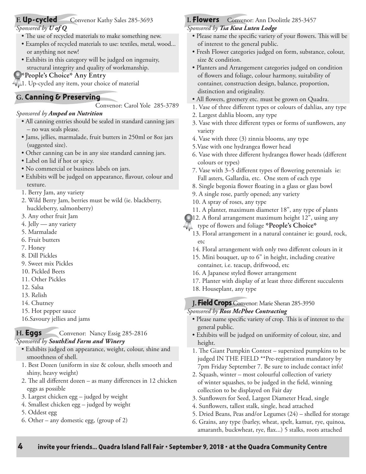### **F. Up-cycled** Convenor Kathy Sales 285-3693

#### *Sponsored by U of Q*

- The use of recycled materials to make something new.
- Examples of recycled materials to use: textiles, metal, wood... or anything not new!
- Exhibits in this category will be judged on ingenuity, structural integrity and quality of workmanship.

#### **\*People's Choice\* Any Entry**

1. Up-cycled any item, your choice of material

#### **G. Canning & Preserving**

Convenor: Carol Yole 285-3789

#### *Sponsored by Amped on Nutrition*

- All canning entries should be sealed in standard canning jars – no wax seals please.
- Jams, jellies, marmalade, fruit butters in 250ml or 8oz jars (suggested size).
- Other canning can be in any size standard canning jars.
- Label on lid if hot or spicy.
- No commercial or business labels on jars.
- Exhibits will be judged on appearance, flavour, colour and texture.
- 1. Berry Jam, any variety
- 2. Wild Berry Jam, berries must be wild (ie. blackberry, huckleberry, salmonberry)
- 3. Any other fruit Jam
- 4. Jelly any variety
- 5. Marmalade
- 6. Fruit butters
- 7. Honey
- 8. Dill Pickles
- 9. Sweet mix Pickles
- 10. Pickled Beets
- 11. Other Pickles
- 12. Salsa
- 13. Relish
- 14. Chutney
- 15. Hot pepper sauce
- 16.Savoury jellies and jams

## **H. Eggs** Convenor: Nancy Essig 285-2816

#### *Sponsored by SouthEnd Farm and Winery*

- Exhibits judged on appearance, weight, colour, shine and smoothness of shell.
- 1. Best Dozen (uniform in size & colour, shells smooth and shiny, heavy weight)
- 2. The all different dozen as many differences in 12 chicken eggs as possible
- 3. Largest chicken egg judged by weight
- 4. Smallest chicken egg judged by weight
- 5. Oddest egg
- 6. Other any domestic egg, (group of 2)

## **I. Flowers** Convenor: Ann Doolittle 285-3457

*Sponsored by Tsa Kwa Luten Lodge*

- Please name the specific variety of your flowers. This will be of interest to the general public.
- Fresh Flower categories judged on form, substance, colour, size & condition.
- Planters and Arrangement categories judged on condition of flowers and foliage, colour harmony, suitability of container, construction design, balance, proportion, distinction and originality.
- All flowers, greenery etc. must be grown on Quadra.
- 1. Vase of three different types or colours of dahlias, any type
- 2. Largest dahlia bloom, any type
- 3. Vase with three different types or forms of sunflowers, any variety
- 4. Vase with three (3) zinnia blooms, any type
- 5.Vase with one hydrangea flower head
- 6. Vase with three different hydrangea flower heads (different colours or types)
- 7. Vase with 3–5 different types of flowering perennials ie: Fall asters, Gallardia, etc. One stem of each type
- 8. Single begonia flower floating in a glass or glass bowl
- 9. A single rose, partly opened; any variety
- 10. A spray of roses, any type
- 11. A planter, maximum diameter 18", any type of plants
- 12. A floral arrangement maximum height 12", using any
- type of flowers and foliage **\*People's Choice\***
- 13. Floral arrangement in a natural container ie: gourd, rock, etc
- 14. Floral arrangement with only two different colours in it
- 15. Mini bouquet, up to 6" in height, including creative container, i.e. teacup, driftwood, etc
- 16. A Japanese styled flower arrangement
- 17. Planter with display of at least three different succulents
- 18. Houseplant, any type
- **J. Field Crops**Convenor: Marie Sheran 285-3950

*Sponsored by Ross McPhee Contracting*

- Please name specific variety of crop. This is of interest to the general public.
- Exhibits will be judged on uniformity of colour, size, and height.
- 1. The Giant Pumpkin Contest supersized pumpkins to be judged IN THE FIELD \*\*Pre-registration mandatory by 7pm Friday September 7. Be sure to include contact info!
- 2. Squash, winter most colourful collection of variety of winter squashes, to be judged in the field, winning collection to be displayed on Fair day
- 3. Sunflowers for Seed, Largest Diameter Head, single
- 4. Sunflowers, tallest stalk, single, head attached
- 5. Dried Beans, Peas and/or Legumes (24) shelled for storage
- 6. Grains, any type (barley, wheat, spelt, kamut, rye, quinoa, amaranth, buckwheat, rye, flax...) 5 stalks, roots attached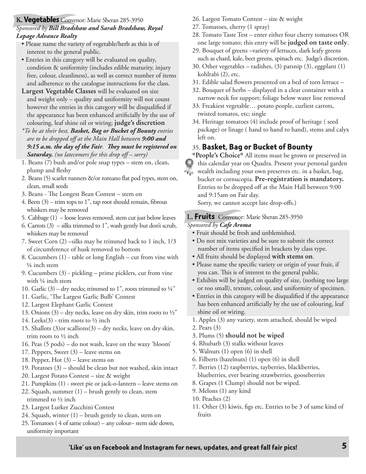#### **K. Vegetables** Convenor: Marie Sheran 285-3950 *Sponsored by Bill Bradshaw and Sarah Bradshaw, Royal Lepage Advance Realty*

- Please name the variety of vegetable/herb as this is of interest to the general public.
- Entries in this category will be evaluated on quality, condition & uniformity (includes edible maturity, injury free, colour, cleanliness), as well as correct number of items and adherence to the catalogue instructions for the class.
- **Largest Vegetable Classes** will be evaluated on size and weight only – quality and uniformity will not count however the entries in this category will be disqualified if the appearance has been enhanced artificially by the use of colouring, leaf shine oil or wiring; **judge's discretion**
- *\*To be at their best, Basket, Bag or Bucket of Bounty entries are to be dropped off at the Main Hall between 9:00 and 9:15 a.m. the day of the Fair. They must be registered on Saturday. (no latecomers for this drop off – sorry)*
- 1. Beans (7) bush and/or pole snap types stem on, clean, plump and fleshy
- 2. Beans (5) scarlet runners &/or romano flat pod types, stem on, clean, small seeds
- 3. Beans The Longest Bean Contest stem on
- 4. Beets  $(3)$  trim tops to 1<sup>"</sup>, tap root should remain, fibrous whiskers may be removed
- 5. Cabbage (1) loose leaves removed, stem cut just below leaves
- 6. Carrots  $(3)$  silks trimmed to 1", wash gently but don't scrub, whiskers may be removed
- 7. Sweet Corn (2) –silks may be trimmed back to 1 inch, 1/3 of circumference of husk removed to bottom
- 8. Cucumbers (1) table or long English cut from vine with ¼ inch stem
- 9. Cucumbers (3) pickling prime picklers, cut from vine with ¼ inch stem
- 10. Garlic (3) dry necks; trimmed to 1", roots trimmed to  $\frac{1}{4}$ "
- 11. Garlic, 'The Largest Garlic Bulb' Contest
- 12. Largest Elephant Garlic Contest
- 13. Onions (3) dry necks, leave on dry skin, trim roots to  $\frac{1}{2}$ "
- 14. Leeks $(3)$  trim roots to  $\frac{1}{2}$  inch
- 15. Shallots (3)or scallions(3) dry necks, leave on dry skin, trim roots to ½ inch
- 16. Peas (5 pods) do not wash, leave on the waxy 'bloom'
- 17. Peppers, Sweet (3) leave stems on
- 18. Pepper, Hot (3) leave stems on
- 19. Potatoes (3) should be clean but not washed, skin intact
- 20. Largest Potato Contest size & weight
- 21. Pumpkins (1) sweet pie or jack-o-lantern leave stems on
- 22. Squash, summer (1) brush gently to clean, stem trimmed to ½ inch
- 23. Largest Lurker Zucchini Contest
- 24. Squash, winter (1) brush gently to clean, stem on
- 25. Tomatoes ( 4 of same colour) any colour– stem side down, uniformity important
- 26. Largest Tomato Contest size & weight
- 27. Tomatoes, cherry (1 spray)
- 28. Tomato Taste Test enter either four cherry tomatoes OR one large tomato; this entry will be **judged on taste only**.
- 29. Bouquet of greens –variety of lettuces, dark leafy greens such as chard, kale, beet greens, spinach etc. Judge's discretion.
- 30. Other vegetables radishes, (3) parsnip (3), eggplant (1) kohlrabi (2), etc.
- 31. Edible salad flowers presented on a bed of torn lettuce –
- 32. Bouquet of herbs displayed in a clear container with a narrow neck for support; foliage below water line removed
- 33. Freakiest vegetable… potato people, curliest carrots, twisted tomatos, etc; single
- 34. Heritage tomatoes (4) include proof of heritage ( seed package) or linage ( hand to hand to hand), stems and calyx left on.

### 35. **Basket, Bag or Bucket of Bounty**

**\*People's Choice\*** All items must be grown or preserved in this calendar year on Quadra. Present your personal garden wealth including your own preserves etc. in a basket, bag, bucket or cornucopia. **Pre-registration is mandatory.**  Entries to be dropped off at the Main Hall between 9:00 and 9:15am on Fair day.

Sorry, we cannot accept late drop-offs.)

#### **L. Fruits** Convenor: Marie Sheran 285-3950

#### *Sponsored by Cafe Aroma*

- Fruit should be fresh and unblemished.
- Do not mix varieties and be sure to submit the correct number of items specified in brackets by class type.
- All fruits should be displayed **with stems on**.
- Please name the specific variety or origin of your fruit, if you can. This is of interest to the general public.
- Exhibits will be judged on quality of size, (nothing too large or too small), texture, colour, and uniformity of specimen.
- Entries in this category will be disqualified if the appearance has been enhanced artificially by the use of colouring, leaf shine oil or wiring.
- 1. Apples (3) any variety, stem attached, should be wiped
- 2. Pears (3)
- 3. Plums (5) **should not be wiped**
- 4. Rhubarb (3) stalks without leaves
- 5. Walnuts (1) open (6) in shell
- 6. Filberts (hazelnuts) (1) open (6) in shell
- 7. Berries (12) raspberries, tayberries, blackberries, blueberries, ever bearing strawberries, gooseberries
- 8. Grapes (1 Clump) should not be wiped.
- 9. Melons (1) any kind
- 10. Peaches (2)
- 11. Other (3) kiwis, figs etc. Entries to be 3 of same kind of fruits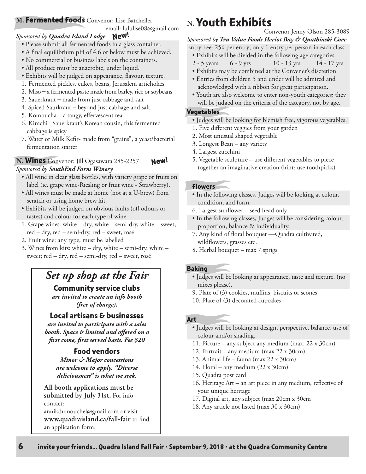### **M. Fermented Foods** Convenor: Lise Batcheller

email: lululise08@gmail.com

### *Sponsored by Quadra Island Lodge*  **New!**

- Please submit all fermented foods in a glass container.
- A final equilibrium pH of 4.6 or below must be achieved.
- No commercial or business labels on the containers.
- All produce must be anaerobic, under liquid.
- Exhibits will be judged on appearance, flavour, texture.
- 1. Fermented pickles, cukes, beans, Jerusalem artichokes
- 2. Miso a fermented paste made from barley, rice or soybeans
- 3. Sauerkraut made from just cabbage and salt
- 4. Spiced Saurkraut beyond just cabbage and salt
- 5. Kombucha a tangy, effervescent tea
- 6. Kimchi –Sauerkraut's Korean cousin, this fermented cabbage is spicy
- 7. Water or Milk Kefir- made from "grains", a yeast/bacterial fermentation starter

#### **N. Wines** Convenor: Jill Ogasawara 285-2257 *Sponsored by SouthEnd Farm Winery*  **New!**

- All wine in clear glass bottles, with variety grape or fruits on label (ie. grape wine-Riesling or fruit wine - Strawberry).
- All wines must be made at home (not at a U-brew) from scratch or using home brew kit.
- Exhibits will be judged on obvious faults (off odours or tastes) and colour for each type of wine.
- 1. Grape wines: white dry, white semi-dry, white sweet; red – dry, red – semi-dry, red – sweet, rosé
- 2. Fruit wine: any type, must be labelled
- 3. Wines from kits: white dry, white semi-dry, white sweet; red – dry, red – semi-dry, red – sweet, rosé

## *Set up shop at the Fair*

### **Community service clubs**

*are invited to create an info booth (free of charge).*

## **Local artisans & businesses**

*are invited to participate with a sales booth. Space is limited and offered on a first come, first served basis. Fee \$20*

## **Food vendors**

*Minor & Major concessions are welcome to apply. "Diverse deliciousness" is what we seek.*

**All booth applications must be submitted by July 31st.** For info contact:

annikdumouchel@gmail.com or visit **www.quadraisland.ca/fall-fair** to find an application form.

## **N.Youth Exhibits**

Convenor Jenny Olson 285-3089

*Sponsored by Tru Value Foods Heriot Bay & Quathiaski Cove*

- Entry Fee: 25¢ per entry; only 1 entry per person in each class
	- Exhibits will be divided in the following age categories:
	- 2 5 years 6 9 yrs 10 13 yrs 14 17 yrs
	- Exhibits may be combined at the Convener's discretion.
	- Entries from children 5 and under will be admired and acknowledged with a ribbon for great participation.
	- Youth are also welcome to enter non-youth categories; they will be judged on the criteria of the category, not by age.

#### **Vegetables**

- Judges will be looking for blemish free, vigorous vegetables.
- 1. Five different veggies from your garden
- 2. Most unusual shaped vegetable
- 3. Longest Bean any variety
- 4. Largest zucchini
- 5. Vegetable sculpture use different vegetables to piece together an imaginative creation (hint: use toothpicks)

#### **Flowers**

- In the following classes, Judges will be looking at colour, condition, and form.
- 6. Largest sunflower seed head only
- In the following classes, Judges will be considering colour, proportion, balance & individuality.
- 7. Any kind of floral bouquet —Quadra cultivated, wildflowers, grasses etc.
- 8. Herbal bouquet max 7 sprigs

#### **Baking**

- Judges will be looking at appearance, taste and texture. (no mixes please).
- 9. Plate of (3) cookies, muffins, biscuits or scones
- 10. Plate of (3) decorated cupcakes

#### **Art**

- Judges will be looking at design, perspective, balance, use of colour and/or shading.
- 11. Picture any subject any medium (max. 22 x 30cm)
- 12. Portrait any medium (max 22 x 30cm)
- 13. Animal life fauna (max 22 x 30cm)
- 14. Floral any medium (22 x 30cm)
- 15. Quadra post card
- 16. Heritage Art an art piece in any medium, reflective of your unique heritage
- 17. Digital art, any subject (max 20cm x 30cm
- 18. Any article not listed (max 30 x 30cm)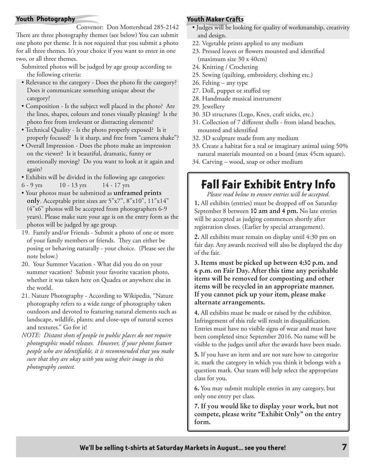#### **Youth Photography**

Convenor: Don Mottershead 285-2142 There are three photography themes (see below) You can submit one photo per theme. It is not required that you submit a photo for all three themes. It's your choice if you want to enter in one two, or all three themes.

- Submitted photos will be judged by age group according to the following criteria:
- Relevance to the category Does the photo fit the category? Does it communicate something unique about the category?
- Composition Is the subject well placed in the photo? Are the lines, shapes, colours and tones visually pleasing? Is the photo free from irrelevant or distracting elements?
- Technical Quality Is the photo properly exposed? Is it properly focused? Is it sharp, and free from "camera shake"?
- Overall Impression Does the photo make an impression on the viewer? Is it beautiful, dramatic, funny or emotionally moving? Do you want to look at it again and again?
- Exhibits will be divided in the following age categories:
- 6 9 yrs 10 13 yrs 14 17 yrs
- Your photos must be submitted as **unframed prints only**. Acceptable print sizes are 5"x7", 8"x10", 11"x14" (4"x6" photos will be accepted from photographers 6-9 years). Please make sure your age is on the entry form as the photos will be judged by age group.
- 19. Family and/or Friends Submit a photo of one or more of your family members or friends. They can either be posing or behaving naturally - your choice. (Please see the note below.)
- 20. Your Summer Vacation What did you do on your summer vacation? Submit your favorite vacation photo, whether it was taken here on Quadra or anywhere else in the world.
- 21. Nature Photography According to Wikipedia, "Nature photography refers to a wide range of photography taken outdoors and devoted to featuring natural elements such as landscape, wildlife, plants; and close-ups of natural scenes and textures." Go for it!
- *NOTE: Distant shots of people in public places do not require photographic model releases. However, if your photos feature people who are identifiable, it is recommended that you make sure that they are okay with you using their image in this photography contest.*

#### **Youth Maker Crafts**

- Judges will be looking for quality of workmanship, creativity and design.
- 22. Vegetable prints applied to any medium
- 23. Pressed leaves or flowers mounted and identified (maximum size 30 x 40cm)
- 24. Knitting / Crocheting
- 25. Sewing (quilting, embroidery, clothing etc.)
- 26. Felting any type
- 27. Doll, puppet or stuffed toy
- 28. Handmade musical instrument
- 29. Jewellery
- 30. 3D structures (Lego, Knex, craft sticks, etc.)
- 31. Collection of 7 different shells from island beaches, mounted and identified
- 32. 3D sculpture made from any medium
- 33. Create a habitat for a real or imaginary animal using 50% natural materials mounted on a board (max 45cm square).
- 34. Carving wood, soap or other medium

## **Fall Fair Exhibit Entry Info**

*Please read below to ensure entries will be accepted.*

**1.** All exhibits (entries) must be dropped off on Saturday September 8 between **10 am and 4 pm.** No late entries will be accepted as judging commences shortly after registration closes. (Earlier by special arrangement).

**2.** All exhibits must remain on display until 4:30 pm on fair day. Any awards received will also be displayed the day of the fair.

**3. Items must be picked up between 4:30 p.m. and 6 p.m. on Fair Day. After this time any perishable items will be removed for composting and other items will be recycled in an appropriate manner. If you cannot pick up your item, please make alternate arrangements.**

**4.** All exhibits must be made or raised by the exhibitor. Infringement of this rule will result in disqualification. Entries must have no visible signs of wear and must have been completed since September 2016. No name will be visible to the judges until after the awards have been made.

**5.** If you have an item and are not sure how to categorize it, mark the category in which you think it belongs with a question mark. Our team will help select the appropriate class for you.

**6.** You may submit multiple entries in any category, but only one entry per class.

**7. If you would like to display your work, but not compete, please write "Exhibit Only" on the entry form.**